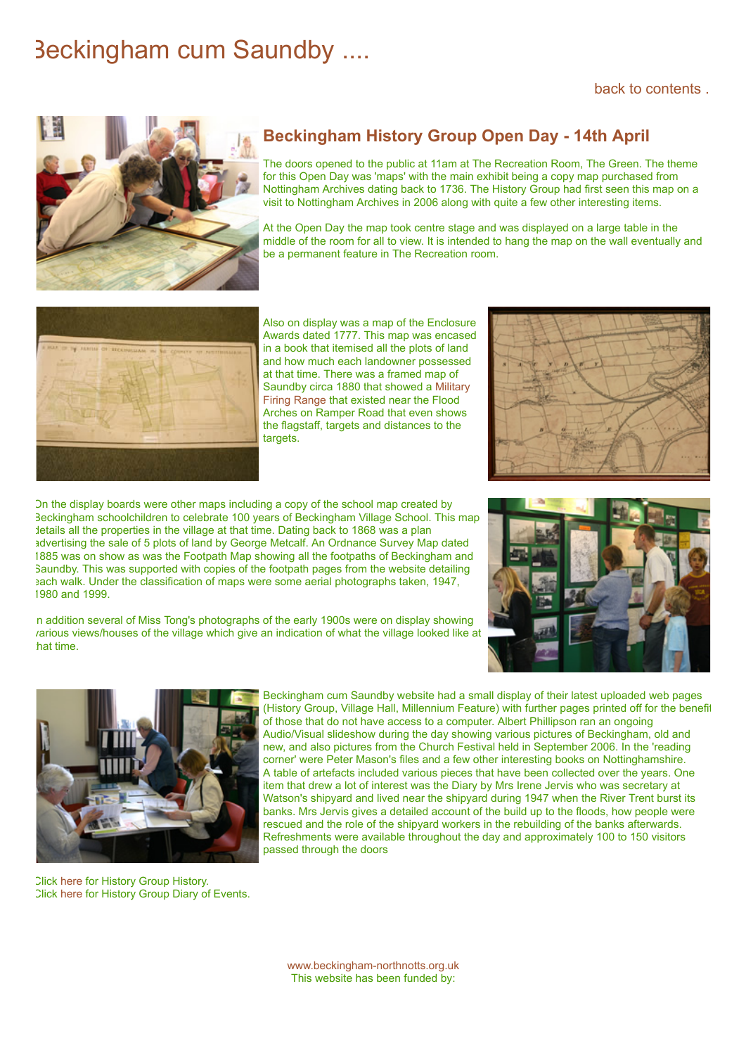## Beckingham cum Saundby ....



## **Beckingham History Group Open Day - 14th April**

The doors opened to the public at 11am at The Recreation Room, The Green. The theme for this Open Day was 'maps' with the main exhibit being a copy map purchased from Nottingham Archives dating back to 1736. The History Group had first seen this map on a visit to Nottingham Archives in 2006 along with quite a few other interesting items.

At the Open Day the map took centre stage and was displayed on a large table in the middle of the room for all to view. It is intended to hang the map on the wall eventually and be a permanent feature in The Recreation room.



Also on display was a map of the Enclosure Awards dated 1777. This map was encased in a book that itemised all the plots of land and how much each landowner possessed at that time. There was a framed map of [Saundby circa 1880 that showed a Military](https://www.beckingham-northnotts.org.uk/history/firingrange.html) Firing Range that existed near the Flood Arches on Ramper Road that even shows the flagstaff, targets and distances to the targets.



On the display boards were other maps including a copy of the school map created by Beckingham schoolchildren to celebrate 100 years of Beckingham Village School. This map details all the properties in the village at that time. Dating back to 1868 was a plan advertising the sale of 5 plots of land by George Metcalf. An Ordnance Survey Map dated 1885 was on show as was the Footpath Map showing all the footpaths of Beckingham and Saundby. This was supported with copies of the footpath pages from the website detailing each walk. Under the classification of maps were some aerial photographs taken, 1947, 1980 and 1999.

n addition several of Miss Tong's photographs of the early 1900s were on display showing various views/houses of the village which give an indication of what the village looked like at hat time.





Click [here](https://www.beckingham-northnotts.org.uk/history/historygroup.html) for History Group History. Click [here](https://www.beckingham-northnotts.org.uk/history/hgtoday3.html) for History Group Diary of Events.

Beckingham cum Saundby website had a small display of their latest uploaded web pages (History Group, Village Hall, Millennium Feature) with further pages printed off for the benefit of those that do not have access to a computer. Albert Phillipson ran an ongoing Audio/Visual slideshow during the day showing various pictures of Beckingham, old and new, and also pictures from the Church Festival held in September 2006. In the 'reading corner' were Peter Mason's files and a few other interesting books on Nottinghamshire. A table of artefacts included various pieces that have been collected over the years. One item that drew a lot of interest was the Diary by Mrs Irene Jervis who was secretary at Watson's shipyard and lived near the shipyard during 1947 when the River Trent burst its banks. Mrs Jervis gives a detailed account of the build up to the floods, how people were rescued and the role of the shipyard workers in the rebuilding of the banks afterwards. Refreshments were available throughout the day and approximately 100 to 150 visitors passed through the doors

[www.beckingham-northnotts.org.uk](https://www.beckingham-northnotts.org.uk/index.htm) This website has been funded by: